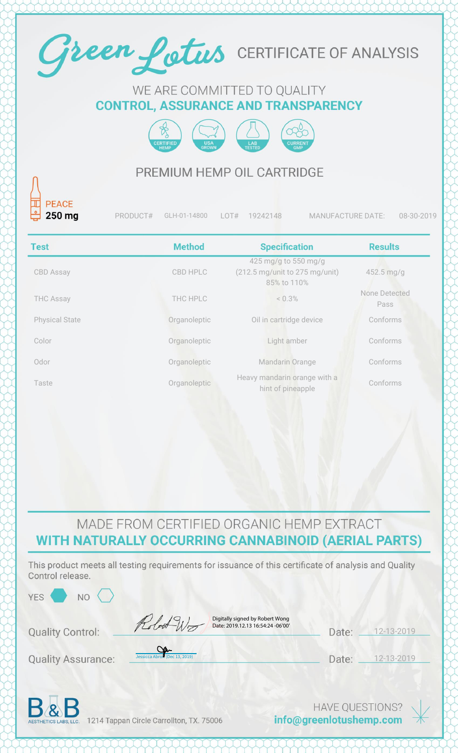

#### WE ARE COMMITTED TO QUALITY **CONTROL, ASSURANCE AND TRANSPARENCY**



### PREMIUM HEMP OIL CARTRIDGE

| 250 mg                | PRODUCT# | GLH-01-14800  | LOT#<br>19242148                                                                         | <b>MANUFACTURE DATE:</b><br>08-30-2019 |
|-----------------------|----------|---------------|------------------------------------------------------------------------------------------|----------------------------------------|
| <b>Test</b>           |          | <b>Method</b> | <b>Specification</b>                                                                     | <b>Results</b>                         |
| <b>CBD Assay</b>      |          | CBD HPLC      | 425 mg/g to 550 mg/g<br>$(212.5 \text{ mg/unit to } 275 \text{ mg/unit})$<br>85% to 110% | $452.5 \,\mathrm{mg/g}$                |
| <b>THC Assay</b>      |          | THC HPLC      | < 0.3%                                                                                   | None Detected<br>Pass                  |
| <b>Physical State</b> |          | Organoleptic  | Oil in cartridge device                                                                  | Conforms                               |
| Color                 |          | Organoleptic  | Light amber                                                                              | Conforms                               |
| Odor                  |          | Organoleptic  | Mandarin Orange                                                                          | Conforms                               |
| Taste                 |          | Organoleptic  | Heavy mandarin orange with a<br>hint of pineapple                                        | Conforms                               |
|                       |          |               |                                                                                          |                                        |

### MADE FROM CERTIFIED ORGANIC HEMP EXTRACT WITH NATURALLY OCCURRING CANNABINOID (AERIAL PARTS)

This product meets all testing requirements for issuance of this certificate of analysis and Quality Control release.

| <b>YES</b><br>N <sub>O</sub> |                                                                      |       |            |  |
|------------------------------|----------------------------------------------------------------------|-------|------------|--|
| <b>Quality Control:</b>      | Digitally signed by Robert Wong<br>Date: 2019.12.13 16:54:24 -06'00' | Date: | 12-13-2019 |  |
| <b>Quality Assurance:</b>    | Ver-<br>Jessicca Abron (Dec 13, 2019)                                | Date: | 12-13-2019 |  |
|                              |                                                                      |       |            |  |



1214 Tappan Circle Carrollton, TX. 75006

**HAVE QUESTIONS?** info@greenlotushemp.com